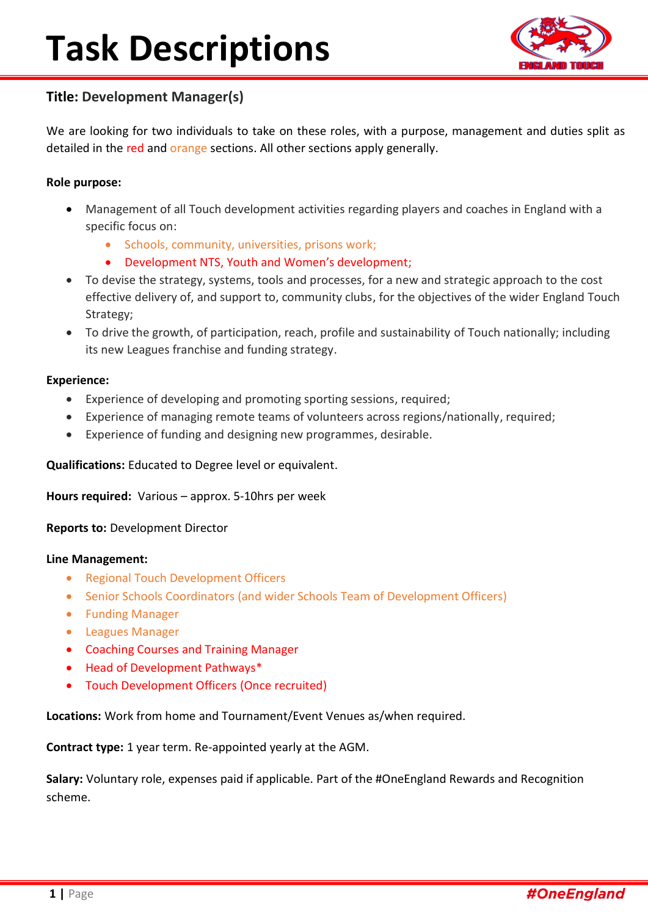# **Task Descriptions**



## **Title: Development Manager(s)**

We are looking for two individuals to take on these roles, with a purpose, management and duties split as detailed in the red and orange sections. All other sections apply generally.

### **Role purpose:**

- Management of all Touch development activities regarding players and coaches in England with a specific focus on:
	- Schools, community, universities, prisons work;
	- Development NTS, Youth and Women's development;
- To devise the strategy, systems, tools and processes, for a new and strategic approach to the cost effective delivery of, and support to, community clubs, for the objectives of the wider England Touch Strategy;
- To drive the growth, of participation, reach, profile and sustainability of Touch nationally; including its new Leagues franchise and funding strategy.

#### **Experience:**

- Experience of developing and promoting sporting sessions, required;
- Experience of managing remote teams of volunteers across regions/nationally, required;
- Experience of funding and designing new programmes, desirable.

**Qualifications:** Educated to Degree level or equivalent.

**Hours required:** Various – approx. 5-10hrs per week

**Reports to:** Development Director

#### **Line Management:**

- Regional Touch Development Officers
- Senior Schools Coordinators (and wider Schools Team of Development Officers)
- Funding Manager
- Leagues Manager
- Coaching Courses and Training Manager
- Head of Development Pathways\*
- Touch Development Officers (Once recruited)

**Locations:** Work from home and Tournament/Event Venues as/when required.

**Contract type:** 1 year term. Re-appointed yearly at the AGM.

**Salary:** Voluntary role, expenses paid if applicable. Part of the #OneEngland Rewards and Recognition scheme.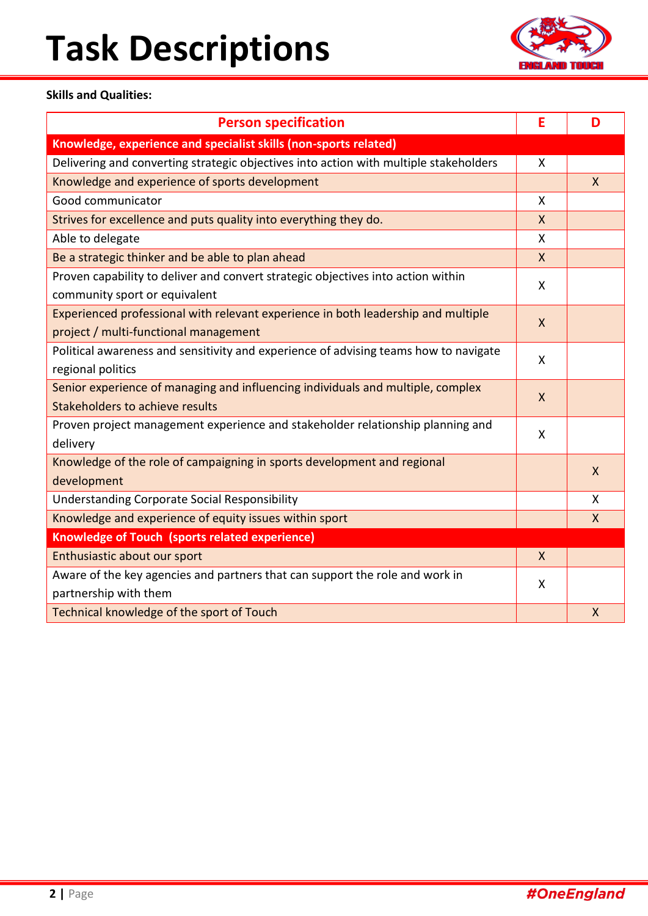# **Task Descriptions**



### **Skills and Qualities:**

| <b>Person specification</b>                                                           | E | D            |
|---------------------------------------------------------------------------------------|---|--------------|
| Knowledge, experience and specialist skills (non-sports related)                      |   |              |
| Delivering and converting strategic objectives into action with multiple stakeholders | X |              |
| Knowledge and experience of sports development                                        |   | $\mathsf{X}$ |
| Good communicator                                                                     | X |              |
| Strives for excellence and puts quality into everything they do.                      | X |              |
| Able to delegate                                                                      | X |              |
| Be a strategic thinker and be able to plan ahead                                      | X |              |
| Proven capability to deliver and convert strategic objectives into action within      | X |              |
| community sport or equivalent                                                         |   |              |
| Experienced professional with relevant experience in both leadership and multiple     | X |              |
| project / multi-functional management                                                 |   |              |
| Political awareness and sensitivity and experience of advising teams how to navigate  | X |              |
| regional politics                                                                     |   |              |
| Senior experience of managing and influencing individuals and multiple, complex       | X |              |
| Stakeholders to achieve results                                                       |   |              |
| Proven project management experience and stakeholder relationship planning and        | X |              |
| delivery                                                                              |   |              |
| Knowledge of the role of campaigning in sports development and regional               |   | $\mathsf{X}$ |
| development                                                                           |   |              |
| <b>Understanding Corporate Social Responsibility</b>                                  |   | X            |
| Knowledge and experience of equity issues within sport                                |   | $\mathsf{X}$ |
| Knowledge of Touch (sports related experience)                                        |   |              |
| Enthusiastic about our sport                                                          | X |              |
| Aware of the key agencies and partners that can support the role and work in          | X |              |
| partnership with them                                                                 |   |              |
| Technical knowledge of the sport of Touch                                             |   | X            |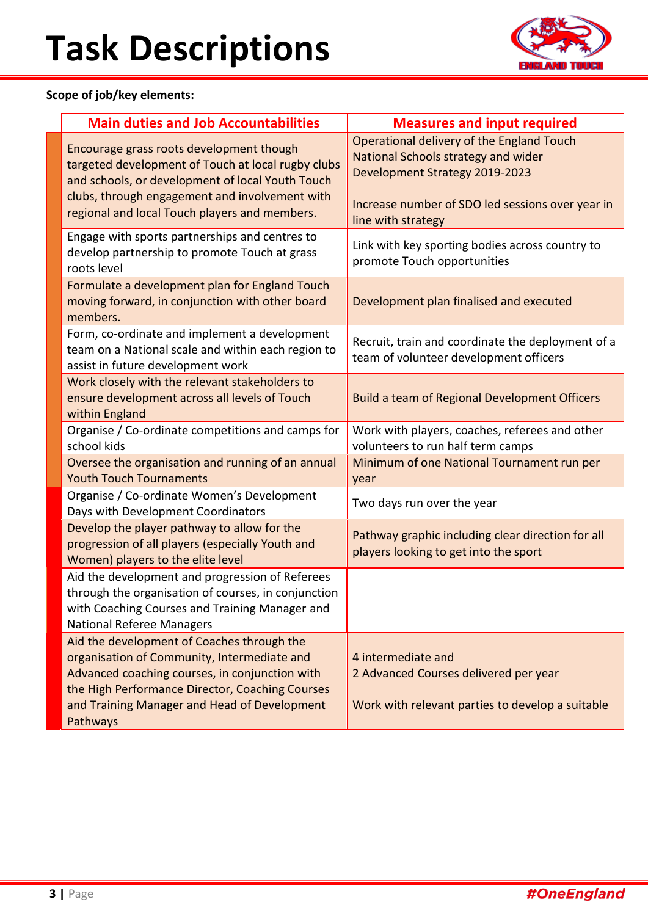

## **Scope of job/key elements:**

| <b>Main duties and Job Accountabilities</b>                                                                                                                                                                                                                | <b>Measures and input required</b>                                                                                                                                                                  |  |
|------------------------------------------------------------------------------------------------------------------------------------------------------------------------------------------------------------------------------------------------------------|-----------------------------------------------------------------------------------------------------------------------------------------------------------------------------------------------------|--|
| Encourage grass roots development though<br>targeted development of Touch at local rugby clubs<br>and schools, or development of local Youth Touch<br>clubs, through engagement and involvement with<br>regional and local Touch players and members.      | Operational delivery of the England Touch<br>National Schools strategy and wider<br><b>Development Strategy 2019-2023</b><br>Increase number of SDO led sessions over year in<br>line with strategy |  |
| Engage with sports partnerships and centres to<br>develop partnership to promote Touch at grass<br>roots level                                                                                                                                             | Link with key sporting bodies across country to<br>promote Touch opportunities                                                                                                                      |  |
| Formulate a development plan for England Touch<br>moving forward, in conjunction with other board<br>members.                                                                                                                                              | Development plan finalised and executed                                                                                                                                                             |  |
| Form, co-ordinate and implement a development<br>team on a National scale and within each region to<br>assist in future development work                                                                                                                   | Recruit, train and coordinate the deployment of a<br>team of volunteer development officers                                                                                                         |  |
| Work closely with the relevant stakeholders to<br>ensure development across all levels of Touch<br>within England                                                                                                                                          | <b>Build a team of Regional Development Officers</b>                                                                                                                                                |  |
| Organise / Co-ordinate competitions and camps for<br>school kids                                                                                                                                                                                           | Work with players, coaches, referees and other<br>volunteers to run half term camps                                                                                                                 |  |
| Oversee the organisation and running of an annual<br><b>Youth Touch Tournaments</b>                                                                                                                                                                        | Minimum of one National Tournament run per<br>year                                                                                                                                                  |  |
| Organise / Co-ordinate Women's Development<br>Days with Development Coordinators                                                                                                                                                                           | Two days run over the year                                                                                                                                                                          |  |
| Develop the player pathway to allow for the<br>progression of all players (especially Youth and<br>Women) players to the elite level                                                                                                                       | Pathway graphic including clear direction for all<br>players looking to get into the sport                                                                                                          |  |
| Aid the development and progression of Referees<br>through the organisation of courses, in conjunction<br>with Coaching Courses and Training Manager and<br><b>National Referee Managers</b>                                                               |                                                                                                                                                                                                     |  |
| Aid the development of Coaches through the<br>organisation of Community, Intermediate and<br>Advanced coaching courses, in conjunction with<br>the High Performance Director, Coaching Courses<br>and Training Manager and Head of Development<br>Pathways | 4 intermediate and<br>2 Advanced Courses delivered per year<br>Work with relevant parties to develop a suitable                                                                                     |  |